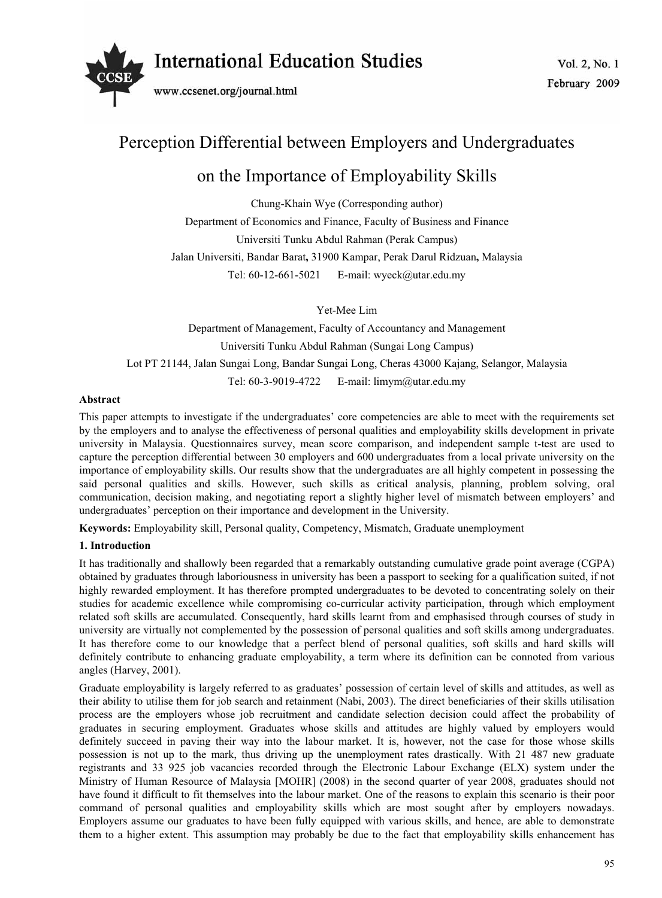

# Perception Differential between Employers and Undergraduates on the Importance of Employability Skills

Chung-Khain Wye (Corresponding author)

Department of Economics and Finance, Faculty of Business and Finance

Universiti Tunku Abdul Rahman (Perak Campus)

Jalan Universiti, Bandar Barat**,** 31900 Kampar, Perak Darul Ridzuan**,** Malaysia

Tel: 60-12-661-5021 E-mail: wyeck@utar.edu.my

Yet-Mee Lim

Department of Management, Faculty of Accountancy and Management Universiti Tunku Abdul Rahman (Sungai Long Campus) Lot PT 21144, Jalan Sungai Long, Bandar Sungai Long, Cheras 43000 Kajang, Selangor, Malaysia Tel: 60-3-9019-4722 E-mail: limym@utar.edu.my

# **Abstract**

This paper attempts to investigate if the undergraduates' core competencies are able to meet with the requirements set by the employers and to analyse the effectiveness of personal qualities and employability skills development in private university in Malaysia. Questionnaires survey, mean score comparison, and independent sample t-test are used to capture the perception differential between 30 employers and 600 undergraduates from a local private university on the importance of employability skills. Our results show that the undergraduates are all highly competent in possessing the said personal qualities and skills. However, such skills as critical analysis, planning, problem solving, oral communication, decision making, and negotiating report a slightly higher level of mismatch between employers' and undergraduates' perception on their importance and development in the University.

**Keywords:** Employability skill, Personal quality, Competency, Mismatch, Graduate unemployment

# **1. Introduction**

It has traditionally and shallowly been regarded that a remarkably outstanding cumulative grade point average (CGPA) obtained by graduates through laboriousness in university has been a passport to seeking for a qualification suited, if not highly rewarded employment. It has therefore prompted undergraduates to be devoted to concentrating solely on their studies for academic excellence while compromising co-curricular activity participation, through which employment related soft skills are accumulated. Consequently, hard skills learnt from and emphasised through courses of study in university are virtually not complemented by the possession of personal qualities and soft skills among undergraduates. It has therefore come to our knowledge that a perfect blend of personal qualities, soft skills and hard skills will definitely contribute to enhancing graduate employability, a term where its definition can be connoted from various angles (Harvey, 2001).

Graduate employability is largely referred to as graduates' possession of certain level of skills and attitudes, as well as their ability to utilise them for job search and retainment (Nabi, 2003). The direct beneficiaries of their skills utilisation process are the employers whose job recruitment and candidate selection decision could affect the probability of graduates in securing employment. Graduates whose skills and attitudes are highly valued by employers would definitely succeed in paving their way into the labour market. It is, however, not the case for those whose skills possession is not up to the mark, thus driving up the unemployment rates drastically. With 21 487 new graduate registrants and 33 925 job vacancies recorded through the Electronic Labour Exchange (ELX) system under the Ministry of Human Resource of Malaysia [MOHR] (2008) in the second quarter of year 2008, graduates should not have found it difficult to fit themselves into the labour market. One of the reasons to explain this scenario is their poor command of personal qualities and employability skills which are most sought after by employers nowadays. Employers assume our graduates to have been fully equipped with various skills, and hence, are able to demonstrate them to a higher extent. This assumption may probably be due to the fact that employability skills enhancement has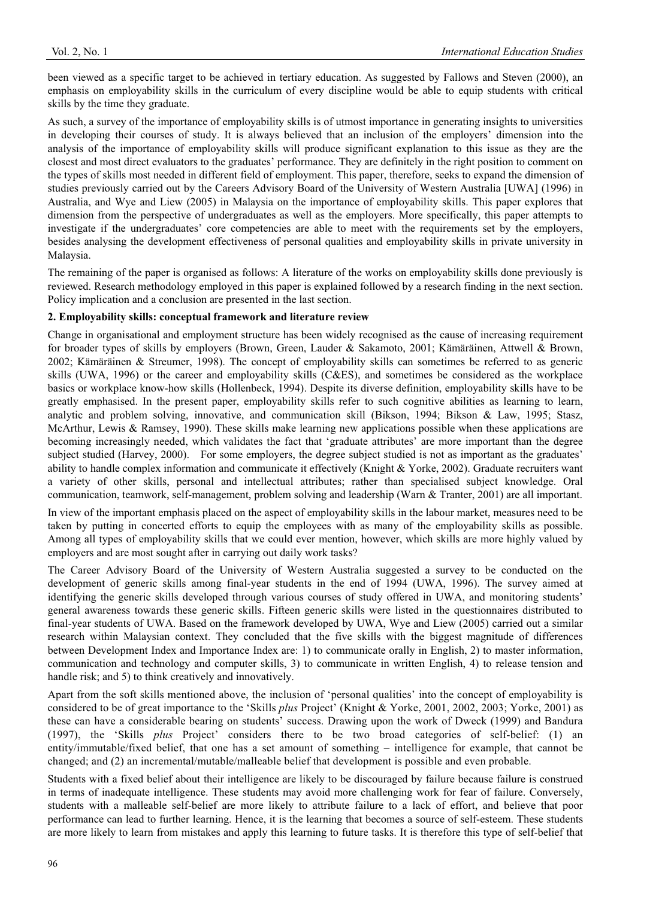been viewed as a specific target to be achieved in tertiary education. As suggested by Fallows and Steven (2000), an emphasis on employability skills in the curriculum of every discipline would be able to equip students with critical skills by the time they graduate.

As such, a survey of the importance of employability skills is of utmost importance in generating insights to universities in developing their courses of study. It is always believed that an inclusion of the employers' dimension into the analysis of the importance of employability skills will produce significant explanation to this issue as they are the closest and most direct evaluators to the graduates' performance. They are definitely in the right position to comment on the types of skills most needed in different field of employment. This paper, therefore, seeks to expand the dimension of studies previously carried out by the Careers Advisory Board of the University of Western Australia [UWA] (1996) in Australia, and Wye and Liew (2005) in Malaysia on the importance of employability skills. This paper explores that dimension from the perspective of undergraduates as well as the employers. More specifically, this paper attempts to investigate if the undergraduates' core competencies are able to meet with the requirements set by the employers, besides analysing the development effectiveness of personal qualities and employability skills in private university in Malaysia.

The remaining of the paper is organised as follows: A literature of the works on employability skills done previously is reviewed. Research methodology employed in this paper is explained followed by a research finding in the next section. Policy implication and a conclusion are presented in the last section.

## **2. Employability skills: conceptual framework and literature review**

Change in organisational and employment structure has been widely recognised as the cause of increasing requirement for broader types of skills by employers (Brown, Green, Lauder & Sakamoto, 2001; Kämäräinen, Attwell & Brown, 2002; Kämäräinen & Streumer, 1998). The concept of employability skills can sometimes be referred to as generic skills (UWA, 1996) or the career and employability skills (C&ES), and sometimes be considered as the workplace basics or workplace know-how skills (Hollenbeck, 1994). Despite its diverse definition, employability skills have to be greatly emphasised. In the present paper, employability skills refer to such cognitive abilities as learning to learn, analytic and problem solving, innovative, and communication skill (Bikson, 1994; Bikson & Law, 1995; Stasz, McArthur, Lewis & Ramsey, 1990). These skills make learning new applications possible when these applications are becoming increasingly needed, which validates the fact that 'graduate attributes' are more important than the degree subject studied (Harvey, 2000). For some employers, the degree subject studied is not as important as the graduates' ability to handle complex information and communicate it effectively (Knight & Yorke, 2002). Graduate recruiters want a variety of other skills, personal and intellectual attributes; rather than specialised subject knowledge. Oral communication, teamwork, self-management, problem solving and leadership (Warn & Tranter, 2001) are all important.

In view of the important emphasis placed on the aspect of employability skills in the labour market, measures need to be taken by putting in concerted efforts to equip the employees with as many of the employability skills as possible. Among all types of employability skills that we could ever mention, however, which skills are more highly valued by employers and are most sought after in carrying out daily work tasks?

The Career Advisory Board of the University of Western Australia suggested a survey to be conducted on the development of generic skills among final-year students in the end of 1994 (UWA, 1996). The survey aimed at identifying the generic skills developed through various courses of study offered in UWA, and monitoring students' general awareness towards these generic skills. Fifteen generic skills were listed in the questionnaires distributed to final-year students of UWA. Based on the framework developed by UWA, Wye and Liew (2005) carried out a similar research within Malaysian context. They concluded that the five skills with the biggest magnitude of differences between Development Index and Importance Index are: 1) to communicate orally in English, 2) to master information, communication and technology and computer skills, 3) to communicate in written English, 4) to release tension and handle risk; and 5) to think creatively and innovatively.

Apart from the soft skills mentioned above, the inclusion of 'personal qualities' into the concept of employability is considered to be of great importance to the 'Skills *plus* Project' (Knight & Yorke, 2001, 2002, 2003; Yorke, 2001) as these can have a considerable bearing on students' success. Drawing upon the work of Dweck (1999) and Bandura (1997), the 'Skills *plus* Project' considers there to be two broad categories of self-belief: (1) an entity/immutable/fixed belief, that one has a set amount of something – intelligence for example, that cannot be changed; and (2) an incremental/mutable/malleable belief that development is possible and even probable.

Students with a fixed belief about their intelligence are likely to be discouraged by failure because failure is construed in terms of inadequate intelligence. These students may avoid more challenging work for fear of failure. Conversely, students with a malleable self-belief are more likely to attribute failure to a lack of effort, and believe that poor performance can lead to further learning. Hence, it is the learning that becomes a source of self-esteem. These students are more likely to learn from mistakes and apply this learning to future tasks. It is therefore this type of self-belief that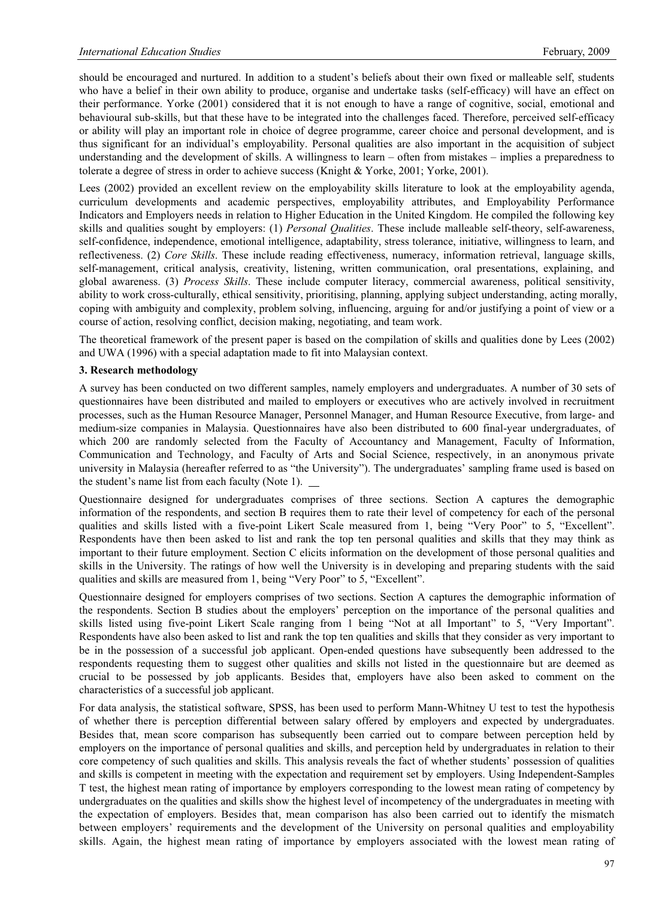should be encouraged and nurtured. In addition to a student's beliefs about their own fixed or malleable self, students who have a belief in their own ability to produce, organise and undertake tasks (self-efficacy) will have an effect on their performance. Yorke (2001) considered that it is not enough to have a range of cognitive, social, emotional and behavioural sub-skills, but that these have to be integrated into the challenges faced. Therefore, perceived self-efficacy or ability will play an important role in choice of degree programme, career choice and personal development, and is thus significant for an individual's employability. Personal qualities are also important in the acquisition of subject understanding and the development of skills. A willingness to learn – often from mistakes – implies a preparedness to tolerate a degree of stress in order to achieve success (Knight & Yorke, 2001; Yorke, 2001).

Lees (2002) provided an excellent review on the employability skills literature to look at the employability agenda, curriculum developments and academic perspectives, employability attributes, and Employability Performance Indicators and Employers needs in relation to Higher Education in the United Kingdom. He compiled the following key skills and qualities sought by employers: (1) *Personal Qualities*. These include malleable self-theory, self-awareness, self-confidence, independence, emotional intelligence, adaptability, stress tolerance, initiative, willingness to learn, and reflectiveness. (2) *Core Skills*. These include reading effectiveness, numeracy, information retrieval, language skills, self-management, critical analysis, creativity, listening, written communication, oral presentations, explaining, and global awareness. (3) *Process Skills*. These include computer literacy, commercial awareness, political sensitivity, ability to work cross-culturally, ethical sensitivity, prioritising, planning, applying subject understanding, acting morally, coping with ambiguity and complexity, problem solving, influencing, arguing for and/or justifying a point of view or a course of action, resolving conflict, decision making, negotiating, and team work.

The theoretical framework of the present paper is based on the compilation of skills and qualities done by Lees (2002) and UWA (1996) with a special adaptation made to fit into Malaysian context.

#### **3. Research methodology**

A survey has been conducted on two different samples, namely employers and undergraduates. A number of 30 sets of questionnaires have been distributed and mailed to employers or executives who are actively involved in recruitment processes, such as the Human Resource Manager, Personnel Manager, and Human Resource Executive, from large- and medium-size companies in Malaysia. Questionnaires have also been distributed to 600 final-year undergraduates, of which 200 are randomly selected from the Faculty of Accountancy and Management, Faculty of Information, Communication and Technology, and Faculty of Arts and Social Science, respectively, in an anonymous private university in Malaysia (hereafter referred to as "the University"). The undergraduates' sampling frame used is based on the student's name list from each faculty (Note 1).

Questionnaire designed for undergraduates comprises of three sections. Section A captures the demographic information of the respondents, and section B requires them to rate their level of competency for each of the personal qualities and skills listed with a five-point Likert Scale measured from 1, being "Very Poor" to 5, "Excellent". Respondents have then been asked to list and rank the top ten personal qualities and skills that they may think as important to their future employment. Section C elicits information on the development of those personal qualities and skills in the University. The ratings of how well the University is in developing and preparing students with the said qualities and skills are measured from 1, being "Very Poor" to 5, "Excellent".

Questionnaire designed for employers comprises of two sections. Section A captures the demographic information of the respondents. Section B studies about the employers' perception on the importance of the personal qualities and skills listed using five-point Likert Scale ranging from 1 being "Not at all Important" to 5, "Very Important". Respondents have also been asked to list and rank the top ten qualities and skills that they consider as very important to be in the possession of a successful job applicant. Open-ended questions have subsequently been addressed to the respondents requesting them to suggest other qualities and skills not listed in the questionnaire but are deemed as crucial to be possessed by job applicants. Besides that, employers have also been asked to comment on the characteristics of a successful job applicant.

For data analysis, the statistical software, SPSS, has been used to perform Mann-Whitney U test to test the hypothesis of whether there is perception differential between salary offered by employers and expected by undergraduates. Besides that, mean score comparison has subsequently been carried out to compare between perception held by employers on the importance of personal qualities and skills, and perception held by undergraduates in relation to their core competency of such qualities and skills. This analysis reveals the fact of whether students' possession of qualities and skills is competent in meeting with the expectation and requirement set by employers. Using Independent-Samples T test, the highest mean rating of importance by employers corresponding to the lowest mean rating of competency by undergraduates on the qualities and skills show the highest level of incompetency of the undergraduates in meeting with the expectation of employers. Besides that, mean comparison has also been carried out to identify the mismatch between employers' requirements and the development of the University on personal qualities and employability skills. Again, the highest mean rating of importance by employers associated with the lowest mean rating of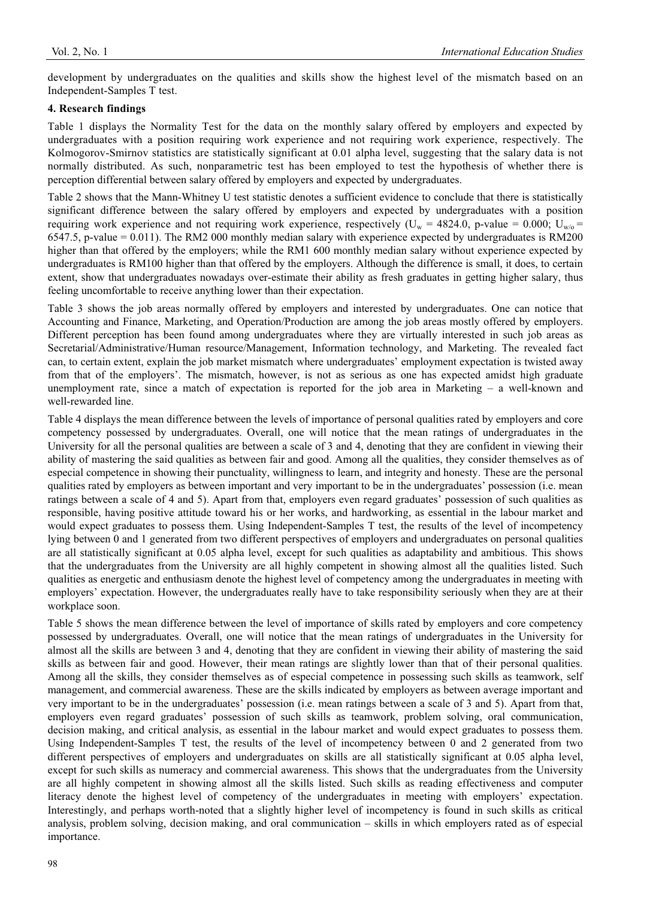development by undergraduates on the qualities and skills show the highest level of the mismatch based on an Independent-Samples T test.

# **4. Research findings**

Table 1 displays the Normality Test for the data on the monthly salary offered by employers and expected by undergraduates with a position requiring work experience and not requiring work experience, respectively. The Kolmogorov-Smirnov statistics are statistically significant at 0.01 alpha level, suggesting that the salary data is not normally distributed. As such, nonparametric test has been employed to test the hypothesis of whether there is perception differential between salary offered by employers and expected by undergraduates.

Table 2 shows that the Mann-Whitney U test statistic denotes a sufficient evidence to conclude that there is statistically significant difference between the salary offered by employers and expected by undergraduates with a position requiring work experience and not requiring work experience, respectively ( $U_w = 4824.0$ , p-value = 0.000;  $U_{w/o}$  = 6547.5, p-value = 0.011). The RM2 000 monthly median salary with experience expected by undergraduates is RM200 higher than that offered by the employers; while the RM1 600 monthly median salary without experience expected by undergraduates is RM100 higher than that offered by the employers. Although the difference is small, it does, to certain extent, show that undergraduates nowadays over-estimate their ability as fresh graduates in getting higher salary, thus feeling uncomfortable to receive anything lower than their expectation.

Table 3 shows the job areas normally offered by employers and interested by undergraduates. One can notice that Accounting and Finance, Marketing, and Operation/Production are among the job areas mostly offered by employers. Different perception has been found among undergraduates where they are virtually interested in such job areas as Secretarial/Administrative/Human resource/Management, Information technology, and Marketing. The revealed fact can, to certain extent, explain the job market mismatch where undergraduates' employment expectation is twisted away from that of the employers'. The mismatch, however, is not as serious as one has expected amidst high graduate unemployment rate, since a match of expectation is reported for the job area in Marketing – a well-known and well-rewarded line.

Table 4 displays the mean difference between the levels of importance of personal qualities rated by employers and core competency possessed by undergraduates. Overall, one will notice that the mean ratings of undergraduates in the University for all the personal qualities are between a scale of 3 and 4, denoting that they are confident in viewing their ability of mastering the said qualities as between fair and good. Among all the qualities, they consider themselves as of especial competence in showing their punctuality, willingness to learn, and integrity and honesty. These are the personal qualities rated by employers as between important and very important to be in the undergraduates' possession (i.e. mean ratings between a scale of 4 and 5). Apart from that, employers even regard graduates' possession of such qualities as responsible, having positive attitude toward his or her works, and hardworking, as essential in the labour market and would expect graduates to possess them. Using Independent-Samples T test, the results of the level of incompetency lying between 0 and 1 generated from two different perspectives of employers and undergraduates on personal qualities are all statistically significant at 0.05 alpha level, except for such qualities as adaptability and ambitious. This shows that the undergraduates from the University are all highly competent in showing almost all the qualities listed. Such qualities as energetic and enthusiasm denote the highest level of competency among the undergraduates in meeting with employers' expectation. However, the undergraduates really have to take responsibility seriously when they are at their workplace soon.

Table 5 shows the mean difference between the level of importance of skills rated by employers and core competency possessed by undergraduates. Overall, one will notice that the mean ratings of undergraduates in the University for almost all the skills are between 3 and 4, denoting that they are confident in viewing their ability of mastering the said skills as between fair and good. However, their mean ratings are slightly lower than that of their personal qualities. Among all the skills, they consider themselves as of especial competence in possessing such skills as teamwork, self management, and commercial awareness. These are the skills indicated by employers as between average important and very important to be in the undergraduates' possession (i.e. mean ratings between a scale of 3 and 5). Apart from that, employers even regard graduates' possession of such skills as teamwork, problem solving, oral communication, decision making, and critical analysis, as essential in the labour market and would expect graduates to possess them. Using Independent-Samples T test, the results of the level of incompetency between 0 and 2 generated from two different perspectives of employers and undergraduates on skills are all statistically significant at 0.05 alpha level, except for such skills as numeracy and commercial awareness. This shows that the undergraduates from the University are all highly competent in showing almost all the skills listed. Such skills as reading effectiveness and computer literacy denote the highest level of competency of the undergraduates in meeting with employers' expectation. Interestingly, and perhaps worth-noted that a slightly higher level of incompetency is found in such skills as critical analysis, problem solving, decision making, and oral communication – skills in which employers rated as of especial importance.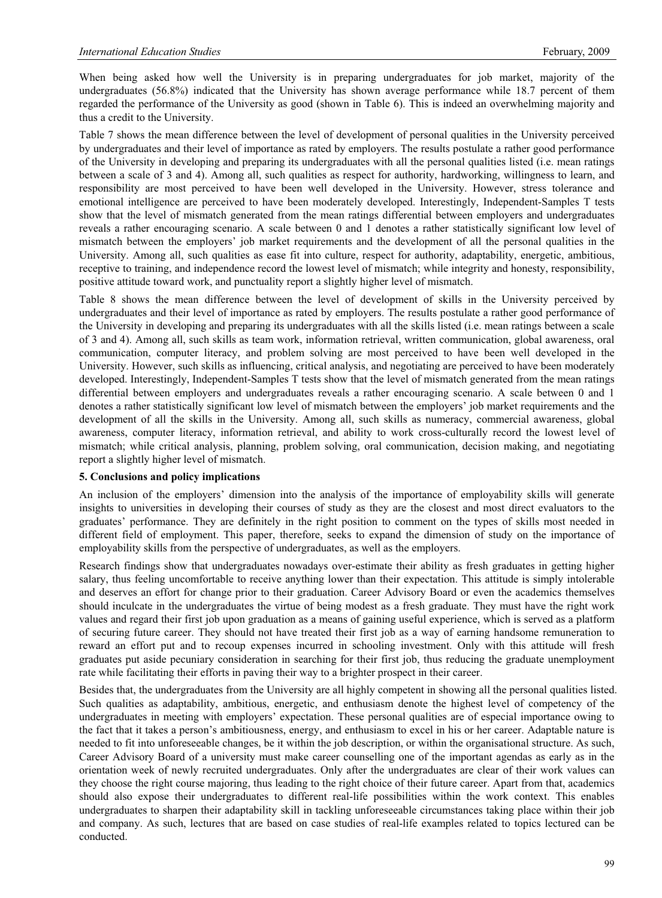When being asked how well the University is in preparing undergraduates for job market, majority of the undergraduates (56.8%) indicated that the University has shown average performance while 18.7 percent of them regarded the performance of the University as good (shown in Table 6). This is indeed an overwhelming majority and thus a credit to the University.

Table 7 shows the mean difference between the level of development of personal qualities in the University perceived by undergraduates and their level of importance as rated by employers. The results postulate a rather good performance of the University in developing and preparing its undergraduates with all the personal qualities listed (i.e. mean ratings between a scale of 3 and 4). Among all, such qualities as respect for authority, hardworking, willingness to learn, and responsibility are most perceived to have been well developed in the University. However, stress tolerance and emotional intelligence are perceived to have been moderately developed. Interestingly, Independent-Samples T tests show that the level of mismatch generated from the mean ratings differential between employers and undergraduates reveals a rather encouraging scenario. A scale between 0 and 1 denotes a rather statistically significant low level of mismatch between the employers' job market requirements and the development of all the personal qualities in the University. Among all, such qualities as ease fit into culture, respect for authority, adaptability, energetic, ambitious, receptive to training, and independence record the lowest level of mismatch; while integrity and honesty, responsibility, positive attitude toward work, and punctuality report a slightly higher level of mismatch.

Table 8 shows the mean difference between the level of development of skills in the University perceived by undergraduates and their level of importance as rated by employers. The results postulate a rather good performance of the University in developing and preparing its undergraduates with all the skills listed (i.e. mean ratings between a scale of 3 and 4). Among all, such skills as team work, information retrieval, written communication, global awareness, oral communication, computer literacy, and problem solving are most perceived to have been well developed in the University. However, such skills as influencing, critical analysis, and negotiating are perceived to have been moderately developed. Interestingly, Independent-Samples T tests show that the level of mismatch generated from the mean ratings differential between employers and undergraduates reveals a rather encouraging scenario. A scale between 0 and 1 denotes a rather statistically significant low level of mismatch between the employers' job market requirements and the development of all the skills in the University. Among all, such skills as numeracy, commercial awareness, global awareness, computer literacy, information retrieval, and ability to work cross-culturally record the lowest level of mismatch; while critical analysis, planning, problem solving, oral communication, decision making, and negotiating report a slightly higher level of mismatch.

### **5. Conclusions and policy implications**

An inclusion of the employers' dimension into the analysis of the importance of employability skills will generate insights to universities in developing their courses of study as they are the closest and most direct evaluators to the graduates' performance. They are definitely in the right position to comment on the types of skills most needed in different field of employment. This paper, therefore, seeks to expand the dimension of study on the importance of employability skills from the perspective of undergraduates, as well as the employers.

Research findings show that undergraduates nowadays over-estimate their ability as fresh graduates in getting higher salary, thus feeling uncomfortable to receive anything lower than their expectation. This attitude is simply intolerable and deserves an effort for change prior to their graduation. Career Advisory Board or even the academics themselves should inculcate in the undergraduates the virtue of being modest as a fresh graduate. They must have the right work values and regard their first job upon graduation as a means of gaining useful experience, which is served as a platform of securing future career. They should not have treated their first job as a way of earning handsome remuneration to reward an effort put and to recoup expenses incurred in schooling investment. Only with this attitude will fresh graduates put aside pecuniary consideration in searching for their first job, thus reducing the graduate unemployment rate while facilitating their efforts in paving their way to a brighter prospect in their career.

Besides that, the undergraduates from the University are all highly competent in showing all the personal qualities listed. Such qualities as adaptability, ambitious, energetic, and enthusiasm denote the highest level of competency of the undergraduates in meeting with employers' expectation. These personal qualities are of especial importance owing to the fact that it takes a person's ambitiousness, energy, and enthusiasm to excel in his or her career. Adaptable nature is needed to fit into unforeseeable changes, be it within the job description, or within the organisational structure. As such, Career Advisory Board of a university must make career counselling one of the important agendas as early as in the orientation week of newly recruited undergraduates. Only after the undergraduates are clear of their work values can they choose the right course majoring, thus leading to the right choice of their future career. Apart from that, academics should also expose their undergraduates to different real-life possibilities within the work context. This enables undergraduates to sharpen their adaptability skill in tackling unforeseeable circumstances taking place within their job and company. As such, lectures that are based on case studies of real-life examples related to topics lectured can be conducted.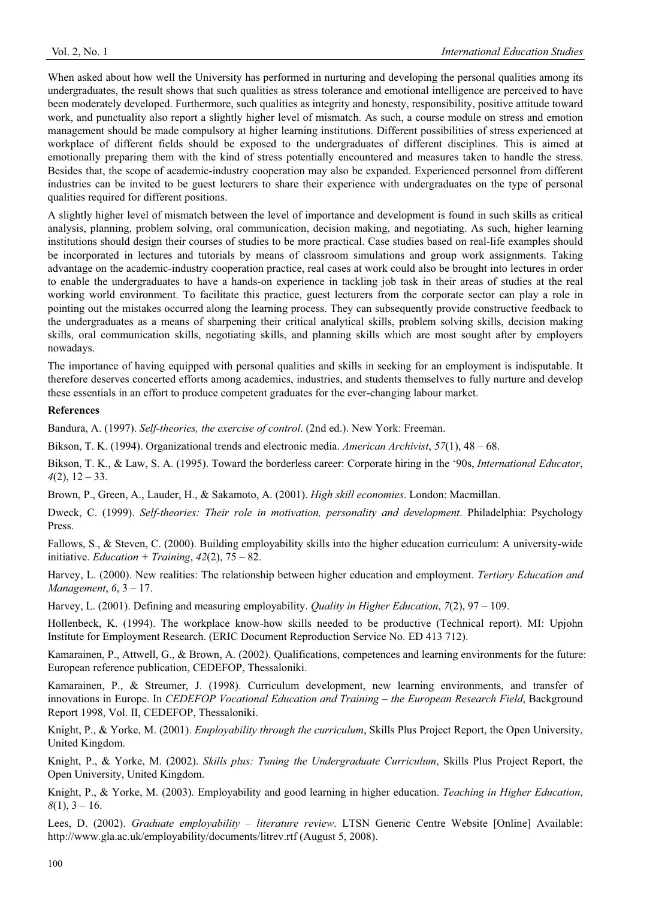When asked about how well the University has performed in nurturing and developing the personal qualities among its undergraduates, the result shows that such qualities as stress tolerance and emotional intelligence are perceived to have been moderately developed. Furthermore, such qualities as integrity and honesty, responsibility, positive attitude toward work, and punctuality also report a slightly higher level of mismatch. As such, a course module on stress and emotion management should be made compulsory at higher learning institutions. Different possibilities of stress experienced at workplace of different fields should be exposed to the undergraduates of different disciplines. This is aimed at emotionally preparing them with the kind of stress potentially encountered and measures taken to handle the stress. Besides that, the scope of academic-industry cooperation may also be expanded. Experienced personnel from different industries can be invited to be guest lecturers to share their experience with undergraduates on the type of personal qualities required for different positions.

A slightly higher level of mismatch between the level of importance and development is found in such skills as critical analysis, planning, problem solving, oral communication, decision making, and negotiating. As such, higher learning institutions should design their courses of studies to be more practical. Case studies based on real-life examples should be incorporated in lectures and tutorials by means of classroom simulations and group work assignments. Taking advantage on the academic-industry cooperation practice, real cases at work could also be brought into lectures in order to enable the undergraduates to have a hands-on experience in tackling job task in their areas of studies at the real working world environment. To facilitate this practice, guest lecturers from the corporate sector can play a role in pointing out the mistakes occurred along the learning process. They can subsequently provide constructive feedback to the undergraduates as a means of sharpening their critical analytical skills, problem solving skills, decision making skills, oral communication skills, negotiating skills, and planning skills which are most sought after by employers nowadays.

The importance of having equipped with personal qualities and skills in seeking for an employment is indisputable. It therefore deserves concerted efforts among academics, industries, and students themselves to fully nurture and develop these essentials in an effort to produce competent graduates for the ever-changing labour market.

## **References**

Bandura, A. (1997). *Self-theories, the exercise of control*. (2nd ed.). New York: Freeman.

Bikson, T. K. (1994). Organizational trends and electronic media. *American Archivist*, *57*(1), 48 – 68.

Bikson, T. K., & Law, S. A. (1995). Toward the borderless career: Corporate hiring in the '90s, *International Educator*, *4*(2), 12 – 33.

Brown, P., Green, A., Lauder, H., & Sakamoto, A. (2001). *High skill economies*. London: Macmillan.

Dweck, C. (1999). *Self-theories: Their role in motivation, personality and development*. Philadelphia: Psychology Press.

Fallows, S., & Steven, C. (2000). Building employability skills into the higher education curriculum: A university-wide initiative. *Education* + *Training*,  $42(2)$ ,  $75 - 82$ .

Harvey, L. (2000). New realities: The relationship between higher education and employment. *Tertiary Education and Management*, *6*, 3 – 17.

Harvey, L. (2001). Defining and measuring employability. *Quality in Higher Education*, *7*(2), 97 – 109.

Hollenbeck, K. (1994). The workplace know-how skills needed to be productive (Technical report). MI: Upjohn Institute for Employment Research. (ERIC Document Reproduction Service No. ED 413 712).

Kamarainen, P., Attwell, G., & Brown, A. (2002). Qualifications, competences and learning environments for the future: European reference publication, CEDEFOP, Thessaloniki.

Kamarainen, P., & Streumer, J. (1998). Curriculum development, new learning environments, and transfer of innovations in Europe. In *CEDEFOP Vocational Education and Training – the European Research Field*, Background Report 1998, Vol. II, CEDEFOP, Thessaloniki.

Knight, P., & Yorke, M. (2001). *Employability through the curriculum*, Skills Plus Project Report, the Open University, United Kingdom.

Knight, P., & Yorke, M. (2002). *Skills plus: Tuning the Undergraduate Curriculum*, Skills Plus Project Report, the Open University, United Kingdom.

Knight, P., & Yorke, M. (2003). Employability and good learning in higher education. *Teaching in Higher Education*,  $8(1)$ ,  $3 - 16$ .

Lees, D. (2002). *Graduate employability – literature review*. LTSN Generic Centre Website [Online] Available: http://www.gla.ac.uk/employability/documents/litrev.rtf (August 5, 2008).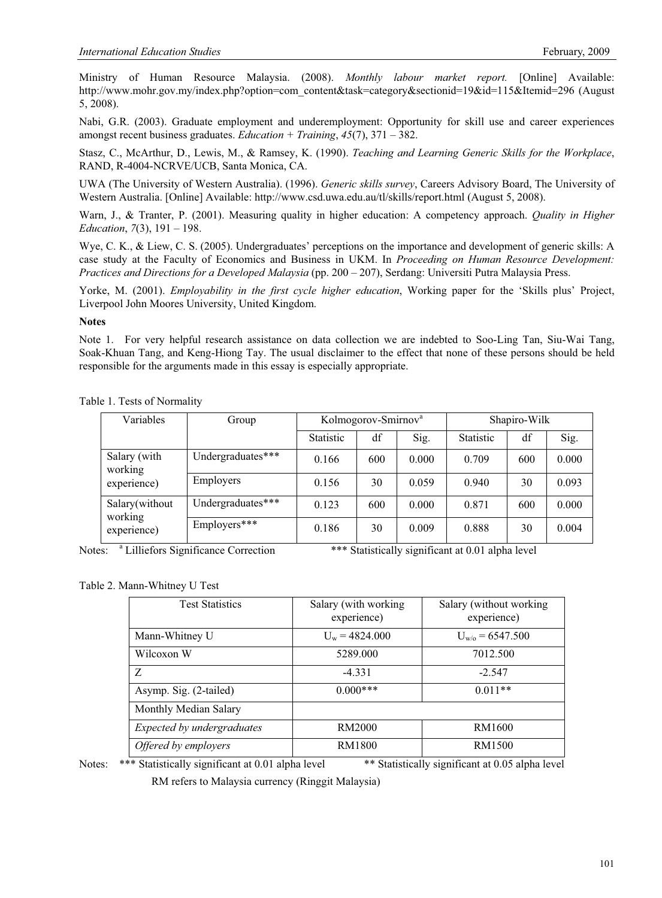Ministry of Human Resource Malaysia. (2008). *Monthly labour market report.* [Online] Available: http://www.mohr.gov.my/index.php?option=com\_content&task=category&sectionid=19&id=115&Itemid=296 (August 5, 2008).

Nabi, G.R. (2003). Graduate employment and underemployment: Opportunity for skill use and career experiences amongst recent business graduates. *Education + Training*, *45*(7), 371 – 382.

Stasz, C., McArthur, D., Lewis, M., & Ramsey, K. (1990). *Teaching and Learning Generic Skills for the Workplace*, RAND, R-4004-NCRVE/UCB, Santa Monica, CA.

UWA (The University of Western Australia). (1996). *Generic skills survey*, Careers Advisory Board, The University of Western Australia. [Online] Available: http://www.csd.uwa.edu.au/tl/skills/report.html (August 5, 2008).

Warn, J., & Tranter, P. (2001). Measuring quality in higher education: A competency approach. *Quality in Higher Education*, *7*(3), 191 – 198.

Wye, C. K., & Liew, C. S. (2005). Undergraduates' perceptions on the importance and development of generic skills: A case study at the Faculty of Economics and Business in UKM. In *Proceeding on Human Resource Development: Practices and Directions for a Developed Malaysia* (pp. 200 – 207), Serdang: Universiti Putra Malaysia Press.

Yorke, M. (2001). *Employability in the first cycle higher education*, Working paper for the 'Skills plus' Project, Liverpool John Moores University, United Kingdom.

## **Notes**

Note 1. For very helpful research assistance on data collection we are indebted to Soo-Ling Tan, Siu-Wai Tang, Soak-Khuan Tang, and Keng-Hiong Tay. The usual disclaimer to the effect that none of these persons should be held responsible for the arguments made in this essay is especially appropriate.

| Variables                                | Group             | Kolmogorov-Smirnov <sup>a</sup> |     |       | Shapiro-Wilk     |     |       |
|------------------------------------------|-------------------|---------------------------------|-----|-------|------------------|-----|-------|
|                                          |                   | <b>Statistic</b>                | df  | Sig.  | <b>Statistic</b> | df  | Sig.  |
| Salary (with<br>working<br>experience)   | Undergraduates*** | 0.166                           | 600 | 0.000 | 0.709            | 600 | 0.000 |
|                                          | Employers         | 0.156                           | 30  | 0.059 | 0.940            | 30  | 0.093 |
| Salary(without<br>working<br>experience) | Undergraduates*** | 0.123                           | 600 | 0.000 | 0.871            | 600 | 0.000 |
|                                          | Employers***      | 0.186                           | 30  | 0.009 | 0.888            | 30  | 0.004 |

Table 1. Tests of Normality

Notes: <sup>a</sup> Lilliefors Significance Correction

\*\*\* Statistically significant at 0.01 alpha level

# Table 2. Mann-Whitney U Test

| <b>Test Statistics</b>     | Salary (with working<br>experience) | Salary (without working)<br>experience) |
|----------------------------|-------------------------------------|-----------------------------------------|
| Mann-Whitney U             | $U_w = 4824.000$                    | $U_{w/o} = 6547.500$                    |
| Wilcoxon W                 | 5289.000                            | 7012.500                                |
| Z                          | $-4.331$                            | $-2.547$                                |
| Asymp. Sig. (2-tailed)     | $0.000***$                          | $0.011**$                               |
| Monthly Median Salary      |                                     |                                         |
| Expected by undergraduates | RM2000                              | RM1600                                  |
| Offered by employers       | <b>RM1800</b>                       | RM1500                                  |

Notes: \*\*\* Statistically significant at 0.01 alpha level \*\* Statistically significant at 0.05 alpha level

RM refers to Malaysia currency (Ringgit Malaysia)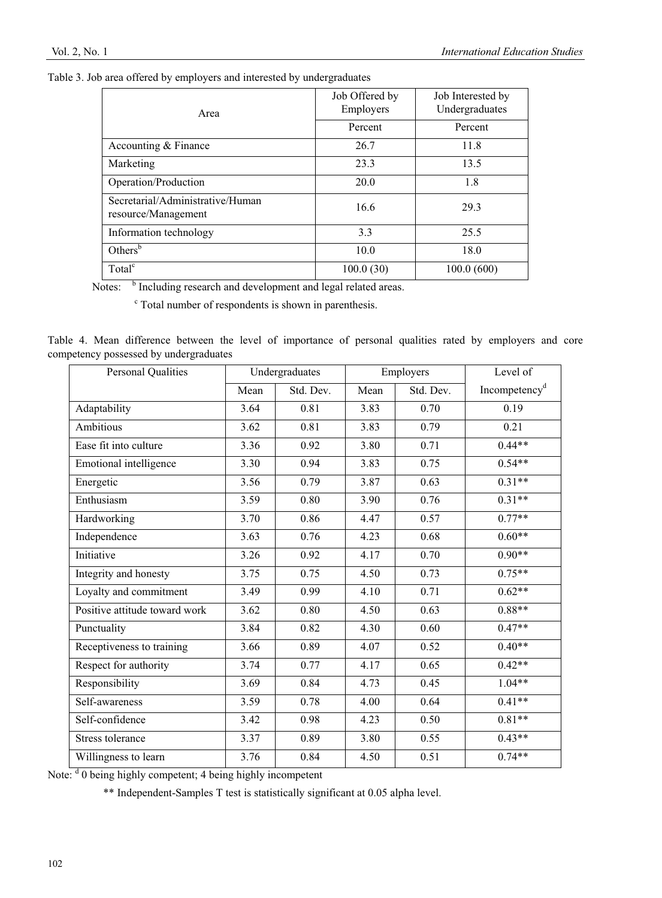|  |  |  |  | Table 3. Job area offered by employers and interested by undergraduates |
|--|--|--|--|-------------------------------------------------------------------------|
|--|--|--|--|-------------------------------------------------------------------------|

| Area                                                    | Job Offered by<br>Employers | Job Interested by<br>Undergraduates |  |  |
|---------------------------------------------------------|-----------------------------|-------------------------------------|--|--|
|                                                         | Percent                     | Percent                             |  |  |
| Accounting & Finance                                    | 26.7                        | 11.8                                |  |  |
| Marketing                                               | 23.3                        | 13.5                                |  |  |
| Operation/Production                                    | 20.0                        | 1.8                                 |  |  |
| Secretarial/Administrative/Human<br>resource/Management | 16.6                        | 29.3                                |  |  |
| Information technology                                  | 3.3                         | 25.5                                |  |  |
| Others $\overline{b}$                                   | 10.0                        | 18.0                                |  |  |
| Total <sup>c</sup>                                      | 100.0(30)                   | 100.0(600)                          |  |  |

Notes: <sup>b</sup> Including research and development and legal related areas.

 $\degree$  Total number of respondents is shown in parenthesis.

Table 4. Mean difference between the level of importance of personal qualities rated by employers and core competency possessed by undergraduates

| <b>Personal Qualities</b>     | Undergraduates |           |      | Employers | Level of                  |
|-------------------------------|----------------|-----------|------|-----------|---------------------------|
|                               | Mean           | Std. Dev. | Mean | Std. Dev. | Incompetency <sup>d</sup> |
| Adaptability                  | 3.64           | 0.81      | 3.83 | 0.70      | 0.19                      |
| Ambitious                     | 3.62           | 0.81      | 3.83 | 0.79      | 0.21                      |
| Ease fit into culture         | 3.36           | 0.92      | 3.80 | 0.71      | $0.44**$                  |
| Emotional intelligence        | 3.30           | 0.94      | 3.83 | 0.75      | $0.54**$                  |
| Energetic                     | 3.56           | 0.79      | 3.87 | 0.63      | $0.31**$                  |
| Enthusiasm                    | 3.59           | 0.80      | 3.90 | 0.76      | $0.31**$                  |
| Hardworking                   | 3.70           | 0.86      | 4.47 | 0.57      | $0.77**$                  |
| Independence                  | 3.63           | 0.76      | 4.23 | 0.68      | $0.60**$                  |
| Initiative                    | 3.26           | 0.92      | 4.17 | 0.70      | $0.90**$                  |
| Integrity and honesty         | 3.75           | 0.75      | 4.50 | 0.73      | $0.75**$                  |
| Loyalty and commitment        | 3.49           | 0.99      | 4.10 | 0.71      | $0.62**$                  |
| Positive attitude toward work | 3.62           | 0.80      | 4.50 | 0.63      | $0.88**$                  |
| Punctuality                   | 3.84           | 0.82      | 4.30 | 0.60      | $0.47**$                  |
| Receptiveness to training     | 3.66           | 0.89      | 4.07 | 0.52      | $0.40**$                  |
| Respect for authority         | 3.74           | 0.77      | 4.17 | 0.65      | $0.42**$                  |
| Responsibility                | 3.69           | 0.84      | 4.73 | 0.45      | $1.04**$                  |
| Self-awareness                | 3.59           | 0.78      | 4.00 | 0.64      | $0.41**$                  |
| Self-confidence               | 3.42           | 0.98      | 4.23 | 0.50      | $0.81**$                  |
| Stress tolerance              | 3.37           | 0.89      | 3.80 | 0.55      | $0.43**$                  |
| Willingness to learn          | 3.76           | 0.84      | 4.50 | 0.51      | $0.74**$                  |

Note: <sup>d</sup> 0 being highly competent; 4 being highly incompetent

\*\* Independent-Samples T test is statistically significant at 0.05 alpha level.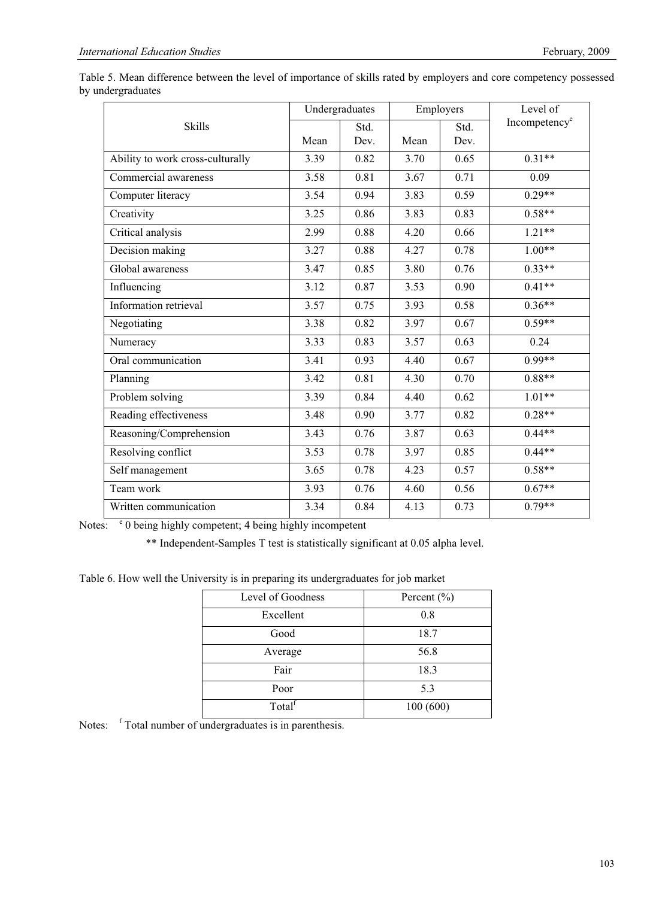|                   |  |  | Table 5. Mean difference between the level of importance of skills rated by employers and core competency possessed |  |
|-------------------|--|--|---------------------------------------------------------------------------------------------------------------------|--|
| by undergraduates |  |  |                                                                                                                     |  |

|                                  |      | Undergraduates |      | Employers | Level of                  |
|----------------------------------|------|----------------|------|-----------|---------------------------|
| <b>Skills</b>                    |      | Std.           |      | Std.      | Incompetency <sup>e</sup> |
|                                  | Mean | Dev.           | Mean | Dev.      |                           |
| Ability to work cross-culturally | 3.39 | 0.82           | 3.70 | 0.65      | $0.31**$                  |
| Commercial awareness             | 3.58 | 0.81           | 3.67 | 0.71      | 0.09                      |
| Computer literacy                | 3.54 | 0.94           | 3.83 | 0.59      | $0.29**$                  |
| Creativity                       | 3.25 | 0.86           | 3.83 | 0.83      | $0.58**$                  |
| Critical analysis                | 2.99 | 0.88           | 4.20 | 0.66      | $1.21**$                  |
| Decision making                  | 3.27 | 0.88           | 4.27 | 0.78      | $1.00**$                  |
| Global awareness                 | 3.47 | 0.85           | 3.80 | 0.76      | $0.33**$                  |
| Influencing                      | 3.12 | 0.87           | 3.53 | 0.90      | $0.41**$                  |
| Information retrieval            | 3.57 | 0.75           | 3.93 | 0.58      | $0.36**$                  |
| Negotiating                      | 3.38 | 0.82           | 3.97 | 0.67      | $0.59**$                  |
| Numeracy                         | 3.33 | 0.83           | 3.57 | 0.63      | 0.24                      |
| Oral communication               | 3.41 | 0.93           | 4.40 | 0.67      | $0.99**$                  |
| Planning                         | 3.42 | 0.81           | 4.30 | 0.70      | $0.88**$                  |
| Problem solving                  | 3.39 | 0.84           | 4.40 | 0.62      | $1.01**$                  |
| Reading effectiveness            | 3.48 | 0.90           | 3.77 | 0.82      | $0.28**$                  |
| Reasoning/Comprehension          | 3.43 | 0.76           | 3.87 | 0.63      | $0.44**$                  |
| Resolving conflict               | 3.53 | 0.78           | 3.97 | 0.85      | $0.44**$                  |
| Self management                  | 3.65 | 0.78           | 4.23 | 0.57      | $0.58**$                  |
| Team work                        | 3.93 | 0.76           | 4.60 | 0.56      | $0.67**$                  |
| Written communication            | 3.34 | 0.84           | 4.13 | 0.73      | $0.79**$                  |

Notes: <sup>e</sup> 0 being highly competent; 4 being highly incompetent

\*\* Independent-Samples T test is statistically significant at 0.05 alpha level.

Table 6. How well the University is in preparing its undergraduates for job market

| Level of Goodness      | Percent $(\% )$ |
|------------------------|-----------------|
| Excellent              | 0.8             |
| Good                   | 18.7            |
| Average                | 56.8            |
| Fair                   | 18.3            |
| Poor                   | 5.3             |
| $Total^{\overline{f}}$ | 100(600)        |

Notes: f Total number of undergraduates is in parenthesis.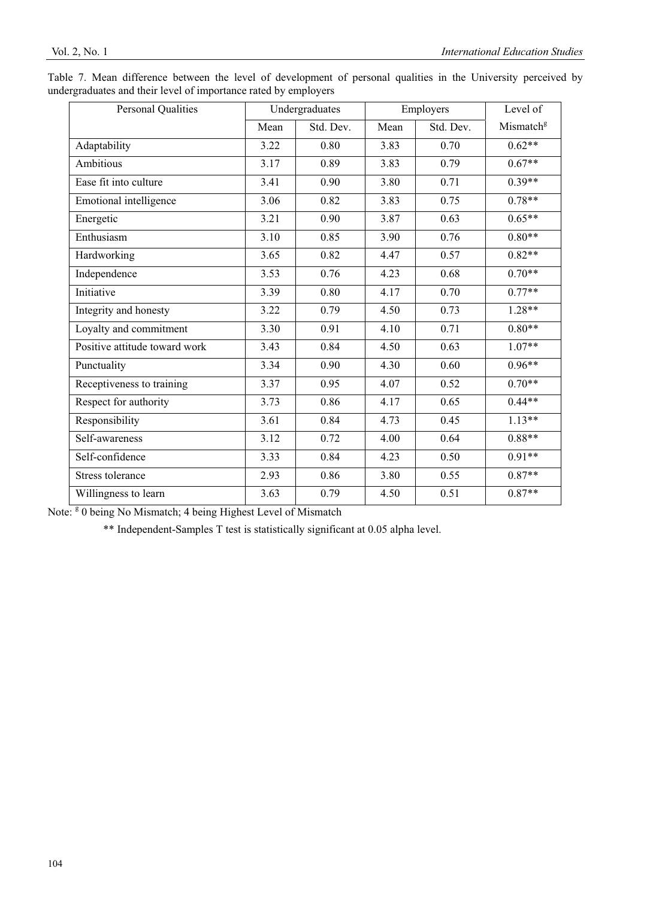| Personal Qualities            | Undergraduates |           |      | Employers | Level of              |
|-------------------------------|----------------|-----------|------|-----------|-----------------------|
|                               | Mean           | Std. Dev. | Mean | Std. Dev. | Mismatch <sup>g</sup> |
| Adaptability                  | 3.22           | 0.80      | 3.83 | 0.70      | $0.62**$              |
| Ambitious                     | 3.17           | 0.89      | 3.83 | 0.79      | $0.67**$              |
| Ease fit into culture         | 3.41           | 0.90      | 3.80 | 0.71      | $0.39**$              |
| Emotional intelligence        | 3.06           | 0.82      | 3.83 | 0.75      | $0.78**$              |
| Energetic                     | 3.21           | 0.90      | 3.87 | 0.63      | $0.65**$              |
| Enthusiasm                    | 3.10           | 0.85      | 3.90 | 0.76      | $0.80**$              |
| Hardworking                   | 3.65           | 0.82      | 4.47 | 0.57      | $0.82**$              |
| Independence                  | 3.53           | 0.76      | 4.23 | 0.68      | $0.70**$              |
| Initiative                    | 3.39           | 0.80      | 4.17 | 0.70      | $0.77**$              |
| Integrity and honesty         | 3.22           | 0.79      | 4.50 | 0.73      | $1.28**$              |
| Loyalty and commitment        | 3.30           | 0.91      | 4.10 | 0.71      | $0.80**$              |
| Positive attitude toward work | 3.43           | 0.84      | 4.50 | 0.63      | $1.07**$              |
| Punctuality                   | 3.34           | 0.90      | 4.30 | 0.60      | $0.96**$              |
| Receptiveness to training     | 3.37           | 0.95      | 4.07 | 0.52      | $0.70**$              |
| Respect for authority         | 3.73           | 0.86      | 4.17 | 0.65      | $0.44**$              |
| Responsibility                | 3.61           | 0.84      | 4.73 | 0.45      | $1.13**$              |
| Self-awareness                | 3.12           | 0.72      | 4.00 | 0.64      | $0.88**$              |
| Self-confidence               | 3.33           | 0.84      | 4.23 | 0.50      | $0.91**$              |
| Stress tolerance              | 2.93           | 0.86      | 3.80 | 0.55      | $0.87**$              |
| Willingness to learn          | 3.63           | 0.79      | 4.50 | 0.51      | $0.87**$              |

Table 7. Mean difference between the level of development of personal qualities in the University perceived by undergraduates and their level of importance rated by employers

Note: <sup>g</sup> 0 being No Mismatch; 4 being Highest Level of Mismatch

\*\* Independent-Samples T test is statistically significant at 0.05 alpha level.